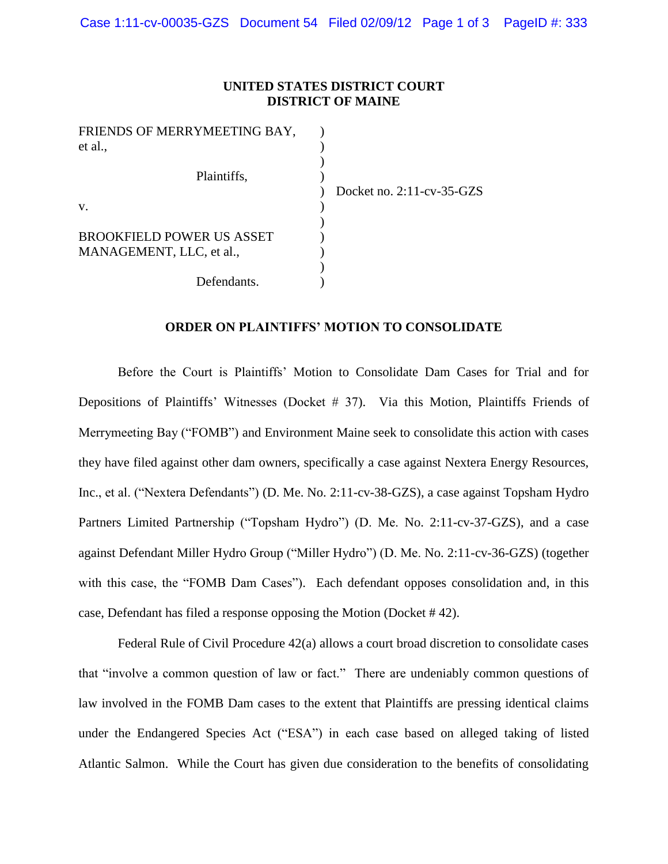## **UNITED STATES DISTRICT COURT DISTRICT OF MAINE**

| FRIENDS OF MERRYMEETING BAY,     |                              |
|----------------------------------|------------------------------|
| et al.,                          |                              |
|                                  |                              |
| Plaintiffs,                      |                              |
|                                  | Docket no. $2:11$ -cv-35-GZS |
| V.                               |                              |
|                                  |                              |
| <b>BROOKFIELD POWER US ASSET</b> |                              |
| MANAGEMENT, LLC, et al.,         |                              |
|                                  |                              |
| Defendants.                      |                              |

## **ORDER ON PLAINTIFFS' MOTION TO CONSOLIDATE**

Before the Court is Plaintiffs' Motion to Consolidate Dam Cases for Trial and for Depositions of Plaintiffs' Witnesses (Docket # 37). Via this Motion, Plaintiffs Friends of Merrymeeting Bay ("FOMB") and Environment Maine seek to consolidate this action with cases they have filed against other dam owners, specifically a case against Nextera Energy Resources, Inc., et al. ("Nextera Defendants") (D. Me. No. 2:11-cv-38-GZS), a case against Topsham Hydro Partners Limited Partnership ("Topsham Hydro") (D. Me. No. 2:11-cv-37-GZS), and a case against Defendant Miller Hydro Group ("Miller Hydro") (D. Me. No. 2:11-cv-36-GZS) (together with this case, the "FOMB Dam Cases"). Each defendant opposes consolidation and, in this case, Defendant has filed a response opposing the Motion (Docket # 42).

Federal Rule of Civil Procedure 42(a) allows a court broad discretion to consolidate cases that "involve a common question of law or fact." There are undeniably common questions of law involved in the FOMB Dam cases to the extent that Plaintiffs are pressing identical claims under the Endangered Species Act ("ESA") in each case based on alleged taking of listed Atlantic Salmon. While the Court has given due consideration to the benefits of consolidating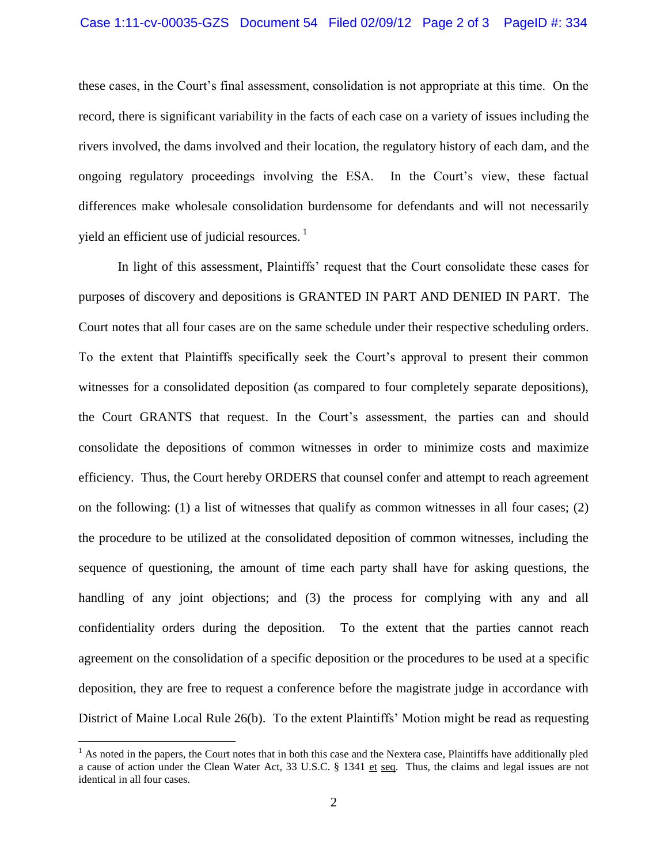these cases, in the Court's final assessment, consolidation is not appropriate at this time. On the record, there is significant variability in the facts of each case on a variety of issues including the rivers involved, the dams involved and their location, the regulatory history of each dam, and the ongoing regulatory proceedings involving the ESA. In the Court's view, these factual differences make wholesale consolidation burdensome for defendants and will not necessarily yield an efficient use of judicial resources.  $<sup>1</sup>$ </sup>

In light of this assessment, Plaintiffs' request that the Court consolidate these cases for purposes of discovery and depositions is GRANTED IN PART AND DENIED IN PART. The Court notes that all four cases are on the same schedule under their respective scheduling orders. To the extent that Plaintiffs specifically seek the Court's approval to present their common witnesses for a consolidated deposition (as compared to four completely separate depositions), the Court GRANTS that request. In the Court's assessment, the parties can and should consolidate the depositions of common witnesses in order to minimize costs and maximize efficiency. Thus, the Court hereby ORDERS that counsel confer and attempt to reach agreement on the following:  $(1)$  a list of witnesses that qualify as common witnesses in all four cases;  $(2)$ the procedure to be utilized at the consolidated deposition of common witnesses, including the sequence of questioning, the amount of time each party shall have for asking questions, the handling of any joint objections; and (3) the process for complying with any and all confidentiality orders during the deposition. To the extent that the parties cannot reach agreement on the consolidation of a specific deposition or the procedures to be used at a specific deposition, they are free to request a conference before the magistrate judge in accordance with District of Maine Local Rule 26(b). To the extent Plaintiffs' Motion might be read as requesting

 $\overline{a}$ 

 $<sup>1</sup>$  As noted in the papers, the Court notes that in both this case and the Nextera case, Plaintiffs have additionally pled</sup> a cause of action under the Clean Water Act, 33 U.S.C. § 1341 et seq. Thus, the claims and legal issues are not identical in all four cases.